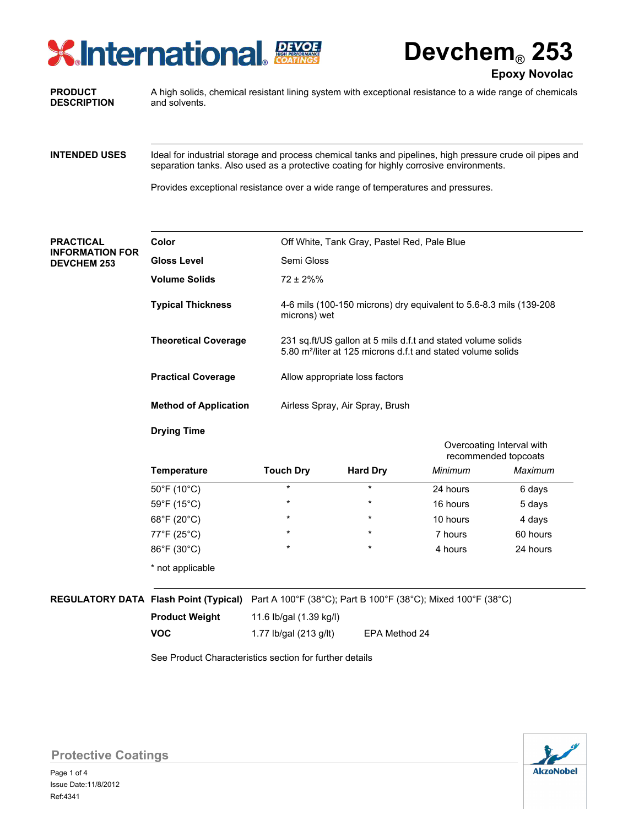# **X** International Exper

**Devchem**® **253**

**Epoxy Novolac**

#### **PRODUCT DESCRIPTION**

A high solids, chemical resistant lining system with exceptional resistance to a wide range of chemicals and solvents.

Ideal for industrial storage and process chemical tanks and pipelines, high pressure crude oil pipes and separation tanks. Also used as a protective coating for highly corrosive environments. **INTENDED USES**

Provides exceptional resistance over a wide range of temperatures and pressures.

## **PRACTICAL INFORMATION FOR DEVCHEM 253**

| Off White, Tank Gray, Pastel Red, Pale Blue                                                                                              |
|------------------------------------------------------------------------------------------------------------------------------------------|
| Semi Gloss                                                                                                                               |
| $72 \pm 2\%$ %                                                                                                                           |
| 4-6 mils (100-150 microns) dry equivalent to 5.6-8.3 mils (139-208<br>microns) wet                                                       |
| 231 sq.ft/US gallon at 5 mils d.f.t and stated volume solids<br>5.80 m <sup>2</sup> /liter at 125 microns d.f.t and stated volume solids |
| Allow appropriate loss factors                                                                                                           |
| Airless Spray, Air Spray, Brush                                                                                                          |
|                                                                                                                                          |

# **Drying Time**

|                  |                  |                 |          | Overcoating Interval with<br>recommended topcoats |  |
|------------------|------------------|-----------------|----------|---------------------------------------------------|--|
| Temperature      | <b>Touch Dry</b> | <b>Hard Dry</b> | Minimum  | Maximum                                           |  |
| 50°F (10°C)      | $\star$          | $\star$         | 24 hours | 6 days                                            |  |
| 59°F (15°C)      | $^\star$         | $\star$         | 16 hours | 5 days                                            |  |
| 68°F (20°C)      | $\star$          | $\star$         | 10 hours | 4 days                                            |  |
| 77°F (25°C)      | $^\star$         | $\star$         | 7 hours  | 60 hours                                          |  |
| 86°F (30°C)      | $\star$          | $\star$         | 4 hours  | 24 hours                                          |  |
| * not applicable |                  |                 |          |                                                   |  |

# **REGULATORY DATA Flash Point (Typical)** Part A 100°F (38°C); Part B 100°F (38°C); Mixed 100°F (38°C)

**Product Weight VOC**

11.6 Ib/gal (1.39 kg/l)

1.77 lb/gal (213 g/lt) EPA Method 24

See Product Characteristics section for further details



**Protective Coatings**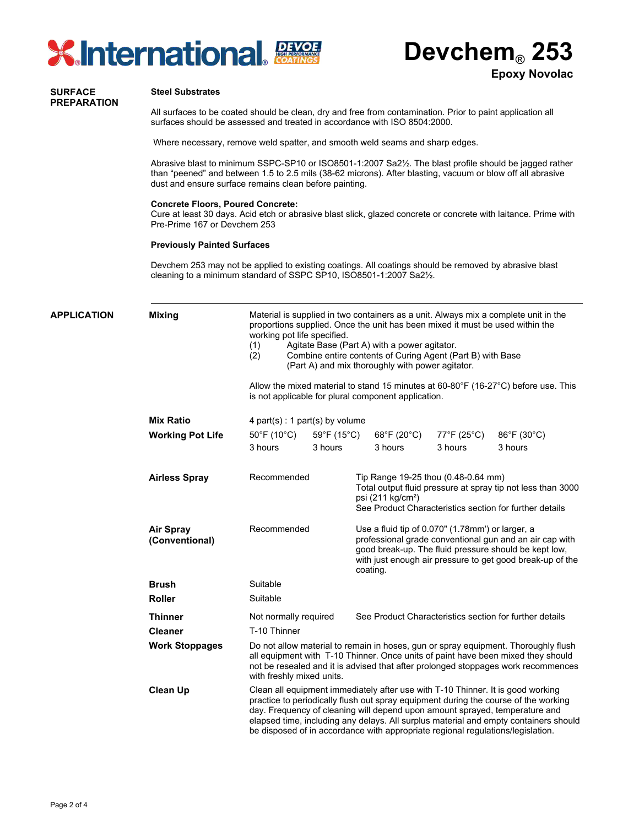



#### **SURFACE PREPARATION**

### **Steel Substrates**

All surfaces to be coated should be clean, dry and free from contamination. Prior to paint application all surfaces should be assessed and treated in accordance with ISO 8504:2000.

Where necessary, remove weld spatter, and smooth weld seams and sharp edges.

Abrasive blast to minimum SSPC-SP10 or ISO8501-1:2007 Sa2½. The blast profile should be jagged rather than "peened" and between 1.5 to 2.5 mils (38-62 microns). After blasting, vacuum or blow off all abrasive dust and ensure surface remains clean before painting.

#### **Concrete Floors, Poured Concrete:**

Cure at least 30 days. Acid etch or abrasive blast slick, glazed concrete or concrete with laitance. Prime with Pre-Prime 167 or Devchem 253

#### **Previously Painted Surfaces**

Devchem 253 may not be applied to existing coatings. All coatings should be removed by abrasive blast cleaning to a minimum standard of SSPC SP10, ISO8501-1:2007 Sa2½.

| <b>APPLICATION</b> | <b>Mixing</b>                      | Material is supplied in two containers as a unit. Always mix a complete unit in the<br>proportions supplied. Once the unit has been mixed it must be used within the<br>working pot life specified.<br>Agitate Base (Part A) with a power agitator.<br>(1)<br>Combine entire contents of Curing Agent (Part B) with Base<br>(2)<br>(Part A) and mix thoroughly with power agitator.<br>Allow the mixed material to stand 15 minutes at $60-80^{\circ}F$ (16-27 $^{\circ}C$ ) before use. This<br>is not applicable for plural component application.<br>4 part(s) : 1 part(s) by volume |                                             |                                                                                                                                                                                                                                               |                               |                                             |                                                                                                                        |
|--------------------|------------------------------------|-----------------------------------------------------------------------------------------------------------------------------------------------------------------------------------------------------------------------------------------------------------------------------------------------------------------------------------------------------------------------------------------------------------------------------------------------------------------------------------------------------------------------------------------------------------------------------------------|---------------------------------------------|-----------------------------------------------------------------------------------------------------------------------------------------------------------------------------------------------------------------------------------------------|-------------------------------|---------------------------------------------|------------------------------------------------------------------------------------------------------------------------|
|                    |                                    |                                                                                                                                                                                                                                                                                                                                                                                                                                                                                                                                                                                         |                                             |                                                                                                                                                                                                                                               |                               |                                             |                                                                                                                        |
|                    | <b>Mix Ratio</b>                   |                                                                                                                                                                                                                                                                                                                                                                                                                                                                                                                                                                                         |                                             |                                                                                                                                                                                                                                               |                               |                                             |                                                                                                                        |
|                    | <b>Working Pot Life</b>            | $50^{\circ}$ F (10 $^{\circ}$ C)<br>3 hours                                                                                                                                                                                                                                                                                                                                                                                                                                                                                                                                             | $59^{\circ}$ F (15 $^{\circ}$ C)<br>3 hours |                                                                                                                                                                                                                                               | 68°F (20°C)<br>3 hours        | $77^{\circ}$ F (25 $^{\circ}$ C)<br>3 hours | 86°F (30°C)<br>3 hours                                                                                                 |
|                    | <b>Airless Spray</b>               | Recommended                                                                                                                                                                                                                                                                                                                                                                                                                                                                                                                                                                             |                                             |                                                                                                                                                                                                                                               | psi (211 kg/cm <sup>2</sup> ) | Tip Range 19-25 thou (0.48-0.64 mm)         | Total output fluid pressure at spray tip not less than 3000<br>See Product Characteristics section for further details |
|                    | <b>Air Spray</b><br>(Conventional) | Recommended                                                                                                                                                                                                                                                                                                                                                                                                                                                                                                                                                                             |                                             | Use a fluid tip of 0.070" (1.78mm') or larger, a<br>professional grade conventional gun and an air cap with<br>good break-up. The fluid pressure should be kept low,<br>with just enough air pressure to get good break-up of the<br>coating. |                               |                                             |                                                                                                                        |
|                    | <b>Brush</b>                       | Suitable                                                                                                                                                                                                                                                                                                                                                                                                                                                                                                                                                                                |                                             |                                                                                                                                                                                                                                               |                               |                                             |                                                                                                                        |
|                    | <b>Roller</b>                      | Suitable                                                                                                                                                                                                                                                                                                                                                                                                                                                                                                                                                                                |                                             |                                                                                                                                                                                                                                               |                               |                                             |                                                                                                                        |
|                    | <b>Thinner</b>                     | Not normally required                                                                                                                                                                                                                                                                                                                                                                                                                                                                                                                                                                   |                                             |                                                                                                                                                                                                                                               |                               |                                             | See Product Characteristics section for further details                                                                |
|                    | <b>Cleaner</b>                     | T-10 Thinner                                                                                                                                                                                                                                                                                                                                                                                                                                                                                                                                                                            |                                             |                                                                                                                                                                                                                                               |                               |                                             |                                                                                                                        |
|                    | <b>Work Stoppages</b>              | Do not allow material to remain in hoses, gun or spray equipment. Thoroughly flush<br>all equipment with T-10 Thinner. Once units of paint have been mixed they should<br>not be resealed and it is advised that after prolonged stoppages work recommences<br>with freshly mixed units.                                                                                                                                                                                                                                                                                                |                                             |                                                                                                                                                                                                                                               |                               |                                             |                                                                                                                        |
|                    | <b>Clean Up</b>                    | Clean all equipment immediately after use with T-10 Thinner. It is good working<br>practice to periodically flush out spray equipment during the course of the working<br>day. Frequency of cleaning will depend upon amount sprayed, temperature and<br>elapsed time, including any delays. All surplus material and empty containers should<br>be disposed of in accordance with appropriate regional regulations/legislation.                                                                                                                                                        |                                             |                                                                                                                                                                                                                                               |                               |                                             |                                                                                                                        |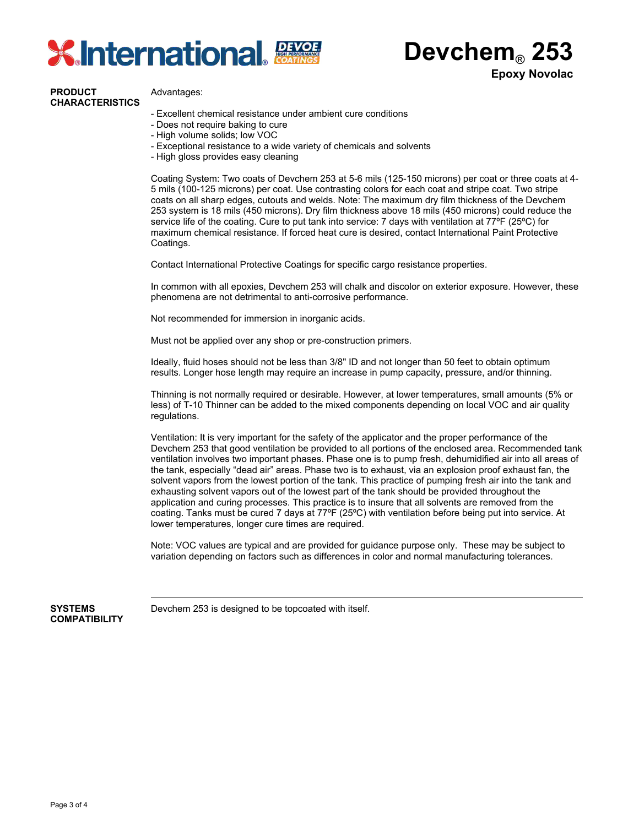

**Devchem**® **253 Epoxy Novolac**

## **PRODUCT CHARACTERISTICS**

Advantages:

- Excellent chemical resistance under ambient cure conditions
- Does not require baking to cure
- High volume solids; low VOC
- Exceptional resistance to a wide variety of chemicals and solvents
- High gloss provides easy cleaning

Coating System: Two coats of Devchem 253 at 5-6 mils (125-150 microns) per coat or three coats at 4- 5 mils (100-125 microns) per coat. Use contrasting colors for each coat and stripe coat. Two stripe coats on all sharp edges, cutouts and welds. Note: The maximum dry film thickness of the Devchem 253 system is 18 mils (450 microns). Dry film thickness above 18 mils (450 microns) could reduce the service life of the coating. Cure to put tank into service: 7 days with ventilation at 77°F (25°C) for maximum chemical resistance. If forced heat cure is desired, contact International Paint Protective Coatings.

Contact International Protective Coatings for specific cargo resistance properties.

In common with all epoxies, Devchem 253 will chalk and discolor on exterior exposure. However, these phenomena are not detrimental to anti-corrosive performance.

Not recommended for immersion in inorganic acids.

Must not be applied over any shop or pre-construction primers.

Ideally, fluid hoses should not be less than 3/8" ID and not longer than 50 feet to obtain optimum results. Longer hose length may require an increase in pump capacity, pressure, and/or thinning.

Thinning is not normally required or desirable. However, at lower temperatures, small amounts (5% or less) of T-10 Thinner can be added to the mixed components depending on local VOC and air quality regulations.

Ventilation: It is very important for the safety of the applicator and the proper performance of the Devchem 253 that good ventilation be provided to all portions of the enclosed area. Recommended tank ventilation involves two important phases. Phase one is to pump fresh, dehumidified air into all areas of the tank, especially "dead air" areas. Phase two is to exhaust, via an explosion proof exhaust fan, the solvent vapors from the lowest portion of the tank. This practice of pumping fresh air into the tank and exhausting solvent vapors out of the lowest part of the tank should be provided throughout the application and curing processes. This practice is to insure that all solvents are removed from the coating. Tanks must be cured 7 days at 77ºF (25ºC) with ventilation before being put into service. At lower temperatures, longer cure times are required.

Note: VOC values are typical and are provided for guidance purpose only. These may be subject to variation depending on factors such as differences in color and normal manufacturing tolerances.

**COMPATIBILITY**

**SYSTEMS** Devchem 253 is designed to be topcoated with itself.